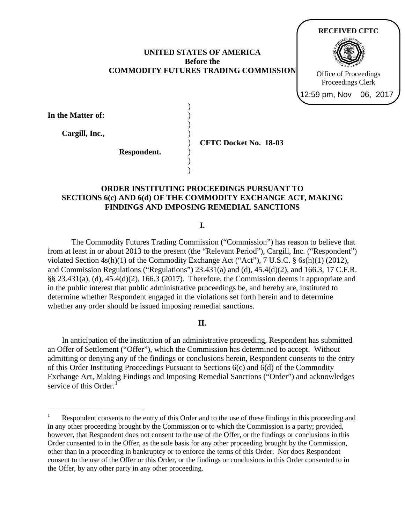### **UNITED STATES OF AMERICA Before the COMMODITY FUTURES TRADING COMMISSION**

) ) ) ) ) ) ) )



|  |  | In the Matter of: |  |
|--|--|-------------------|--|
|--|--|-------------------|--|

 $\overline{a}$ 

**Cargill, Inc.,** 

**Respondent.**

**CFTC Docket No. 18-03**

### **ORDER INSTITUTING PROCEEDINGS PURSUANT TO SECTIONS 6(c) AND 6(d) OF THE COMMODITY EXCHANGE ACT, MAKING FINDINGS AND IMPOSING REMEDIAL SANCTIONS**

**I.**

The Commodity Futures Trading Commission ("Commission") has reason to believe that from at least in or about 2013 to the present (the "Relevant Period"), Cargill, Inc. ("Respondent") violated Section  $4s(h)(1)$  of the Commodity Exchange Act ("Act"), 7 U.S.C.  $\S$  6s(h)(1) (2012), and Commission Regulations ("Regulations") 23.431(a) and (d), 45.4(d)(2), and 166.3, 17 C.F.R.  $\S$ § 23.431(a), (d), 45.4(d)(2), 166.3 (2017). Therefore, the Commission deems it appropriate and in the public interest that public administrative proceedings be, and hereby are, instituted to determine whether Respondent engaged in the violations set forth herein and to determine whether any order should be issued imposing remedial sanctions.

### **II.**

 In anticipation of the institution of an administrative proceeding, Respondent has submitted an Offer of Settlement ("Offer"), which the Commission has determined to accept. Without admitting or denying any of the findings or conclusions herein, Respondent consents to the entry of this Order Instituting Proceedings Pursuant to Sections 6(c) and 6(d) of the Commodity Exchange Act, Making Findings and Imposing Remedial Sanctions ("Order") and acknowledges service of this Order. $<sup>1</sup>$ </sup>

<sup>1</sup> Respondent consents to the entry of this Order and to the use of these findings in this proceeding and in any other proceeding brought by the Commission or to which the Commission is a party; provided, however, that Respondent does not consent to the use of the Offer, or the findings or conclusions in this Order consented to in the Offer, as the sole basis for any other proceeding brought by the Commission, other than in a proceeding in bankruptcy or to enforce the terms of this Order. Nor does Respondent consent to the use of the Offer or this Order, or the findings or conclusions in this Order consented to in the Offer, by any other party in any other proceeding.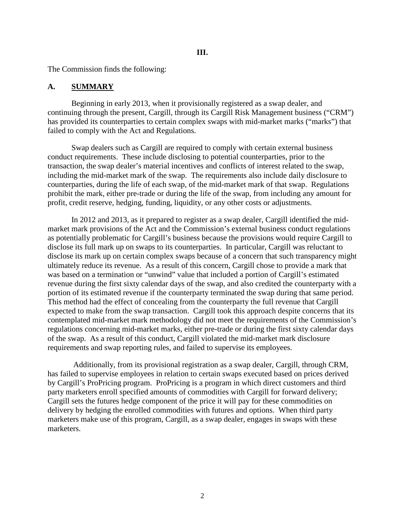The Commission finds the following:

### **A. SUMMARY**

Beginning in early 2013, when it provisionally registered as a swap dealer, and continuing through the present, Cargill, through its Cargill Risk Management business ("CRM") has provided its counterparties to certain complex swaps with mid-market marks ("marks") that failed to comply with the Act and Regulations.

Swap dealers such as Cargill are required to comply with certain external business conduct requirements. These include disclosing to potential counterparties, prior to the transaction, the swap dealer's material incentives and conflicts of interest related to the swap, including the mid-market mark of the swap. The requirements also include daily disclosure to counterparties, during the life of each swap, of the mid-market mark of that swap. Regulations prohibit the mark, either pre-trade or during the life of the swap, from including any amount for profit, credit reserve, hedging, funding, liquidity, or any other costs or adjustments.

In 2012 and 2013, as it prepared to register as a swap dealer, Cargill identified the midmarket mark provisions of the Act and the Commission's external business conduct regulations as potentially problematic for Cargill's business because the provisions would require Cargill to disclose its full mark up on swaps to its counterparties. In particular, Cargill was reluctant to disclose its mark up on certain complex swaps because of a concern that such transparency might ultimately reduce its revenue. As a result of this concern, Cargill chose to provide a mark that was based on a termination or "unwind" value that included a portion of Cargill's estimated revenue during the first sixty calendar days of the swap, and also credited the counterparty with a portion of its estimated revenue if the counterparty terminated the swap during that same period. This method had the effect of concealing from the counterparty the full revenue that Cargill expected to make from the swap transaction. Cargill took this approach despite concerns that its contemplated mid-market mark methodology did not meet the requirements of the Commission's regulations concerning mid-market marks, either pre-trade or during the first sixty calendar days of the swap. As a result of this conduct, Cargill violated the mid-market mark disclosure requirements and swap reporting rules, and failed to supervise its employees.

 Additionally, from its provisional registration as a swap dealer, Cargill, through CRM, has failed to supervise employees in relation to certain swaps executed based on prices derived by Cargill's ProPricing program. ProPricing is a program in which direct customers and third party marketers enroll specified amounts of commodities with Cargill for forward delivery; Cargill sets the futures hedge component of the price it will pay for these commodities on delivery by hedging the enrolled commodities with futures and options. When third party marketers make use of this program, Cargill, as a swap dealer, engages in swaps with these marketers.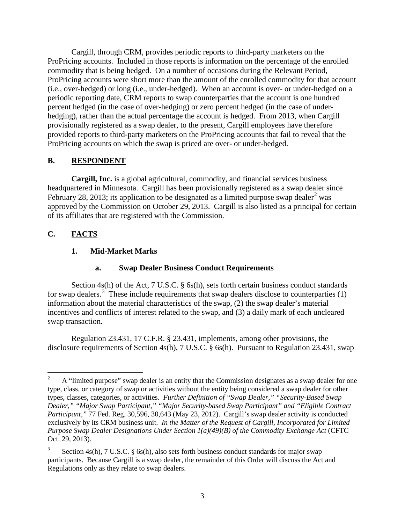Cargill, through CRM, provides periodic reports to third-party marketers on the ProPricing accounts. Included in those reports is information on the percentage of the enrolled commodity that is being hedged. On a number of occasions during the Relevant Period, ProPricing accounts were short more than the amount of the enrolled commodity for that account (i.e., over-hedged) or long (i.e., under-hedged). When an account is over- or under-hedged on a periodic reporting date, CRM reports to swap counterparties that the account is one hundred percent hedged (in the case of over-hedging) or zero percent hedged (in the case of underhedging), rather than the actual percentage the account is hedged. From 2013, when Cargill provisionally registered as a swap dealer, to the present, Cargill employees have therefore provided reports to third-party marketers on the ProPricing accounts that fail to reveal that the ProPricing accounts on which the swap is priced are over- or under-hedged.

### **B. RESPONDENT**

**Cargill, Inc.** is a global agricultural, commodity, and financial services business headquartered in Minnesota. Cargill has been provisionally registered as a swap dealer since February 28, 2013; its application to be designated as a limited purpose swap dealer<sup>2</sup> was approved by the Commission on October 29, 2013. Cargill is also listed as a principal for certain of its affiliates that are registered with the Commission.

# **C. FACTS**

# **1. Mid-Market Marks**

# **a. Swap Dealer Business Conduct Requirements**

Section 4s(h) of the Act, 7 U.S.C. § 6s(h), sets forth certain business conduct standards for swap dealers.<sup>3</sup> These include requirements that swap dealers disclose to counterparties  $(1)$ information about the material characteristics of the swap, (2) the swap dealer's material incentives and conflicts of interest related to the swap, and (3) a daily mark of each uncleared swap transaction.

Regulation 23.431, 17 C.F.R. § 23.431, implements, among other provisions, the disclosure requirements of Section 4s(h), 7 U.S.C. § 6s(h). Pursuant to Regulation 23.431, swap

 $\frac{1}{2}$  A "limited purpose" swap dealer is an entity that the Commission designates as a swap dealer for one type, class, or category of swap or activities without the entity being considered a swap dealer for other types, classes, categories, or activities. *Further Definition of "Swap Dealer," "Security-Based Swap Dealer," "Major Swap Participant," "Major Security-based Swap Participant" and "Eligible Contract Participant,"* 77 Fed. Reg. 30,596, 30,643 (May 23, 2012). Cargill's swap dealer activity is conducted exclusively by its CRM business unit. *In the Matter of the Request of Cargill, Incorporated for Limited Purpose Swap Dealer Designations Under Section 1(a)(49)(B) of the Commodity Exchange Act* (CFTC Oct. 29, 2013).

<sup>3</sup> Section 4s(h), 7 U.S.C. § 6s(h), also sets forth business conduct standards for major swap participants. Because Cargill is a swap dealer, the remainder of this Order will discuss the Act and Regulations only as they relate to swap dealers.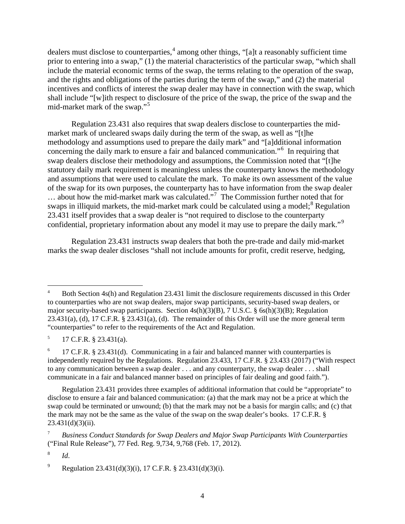dealers must disclose to counterparties,  $4$  among other things, "[a]t a reasonably sufficient time prior to entering into a swap," (1) the material characteristics of the particular swap, "which shall include the material economic terms of the swap, the terms relating to the operation of the swap, and the rights and obligations of the parties during the term of the swap," and (2) the material incentives and conflicts of interest the swap dealer may have in connection with the swap, which shall include "[w]ith respect to disclosure of the price of the swap, the price of the swap and the mid-market mark of the swap."<sup>5</sup>

Regulation 23.431 also requires that swap dealers disclose to counterparties the midmarket mark of uncleared swaps daily during the term of the swap, as well as "[t]he methodology and assumptions used to prepare the daily mark" and "[a]dditional information concerning the daily mark to ensure a fair and balanced communication."<sup>6</sup> In requiring that swap dealers disclose their methodology and assumptions, the Commission noted that "[t]he statutory daily mark requirement is meaningless unless the counterparty knows the methodology and assumptions that were used to calculate the mark. To make its own assessment of the value of the swap for its own purposes, the counterparty has to have information from the swap dealer … about how the mid-market mark was calculated."<sup>7</sup> The Commission further noted that for swaps in illiquid markets, the mid-market mark could be calculated using a model;<sup>8</sup> Regulation 23.431 itself provides that a swap dealer is "not required to disclose to the counterparty confidential, proprietary information about any model it may use to prepare the daily mark."<sup>9</sup>

Regulation 23.431 instructs swap dealers that both the pre-trade and daily mid-market marks the swap dealer discloses "shall not include amounts for profit, credit reserve, hedging,

 $\overline{a}$ 

<sup>4</sup> Both Section 4s(h) and Regulation 23.431 limit the disclosure requirements discussed in this Order to counterparties who are not swap dealers, major swap participants, security-based swap dealers, or major security-based swap participants. Section  $4s(h)(3)(B)$ , 7 U.S.C. § 6s(h)(3)(B); Regulation 23.431(a), (d), 17 C.F.R. § 23.431(a), (d). The remainder of this Order will use the more general term "counterparties" to refer to the requirements of the Act and Regulation.

 $^{5}$  17 C.F.R. § 23.431(a).

 $6$  17 C.F.R. § 23.431(d). Communicating in a fair and balanced manner with counterparties is independently required by the Regulations. Regulation 23.433, 17 C.F.R. § 23.433 (2017) ("With respect to any communication between a swap dealer . . . and any counterparty, the swap dealer . . . shall communicate in a fair and balanced manner based on principles of fair dealing and good faith.").

Regulation 23.431 provides three examples of additional information that could be "appropriate" to disclose to ensure a fair and balanced communication: (a) that the mark may not be a price at which the swap could be terminated or unwound; (b) that the mark may not be a basis for margin calls; and (c) that the mark may not be the same as the value of the swap on the swap dealer's books. 17 C.F.R. §  $23.431(d)(3)(ii)$ .

<sup>7</sup> *Business Conduct Standards for Swap Dealers and Major Swap Participants With Counterparties* ("Final Rule Release"), 77 Fed. Reg. 9,734, 9,768 (Feb. 17, 2012).

<sup>8</sup>*Id*.

<sup>&</sup>lt;sup>9</sup> Regulation 23.431(d)(3)(i), 17 C.F.R. § 23.431(d)(3)(i).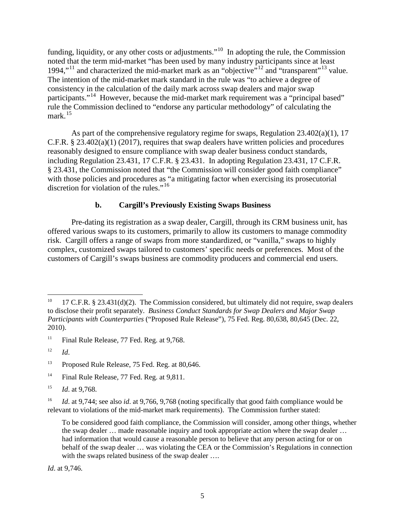funding, liquidity, or any other costs or adjustments."<sup>10</sup> In adopting the rule, the Commission noted that the term mid-market "has been used by many industry participants since at least 1994,"<sup>11</sup> and characterized the mid-market mark as an "objective"<sup>12</sup> and "transparent"<sup>13</sup> value. The intention of the mid-market mark standard in the rule was "to achieve a degree of consistency in the calculation of the daily mark across swap dealers and major swap participants."<sup>14</sup> However, because the mid-market mark requirement was a "principal based" rule the Commission declined to "endorse any particular methodology" of calculating the mark. 15

As part of the comprehensive regulatory regime for swaps, Regulation  $23.402(a)(1)$ , 17 C.F.R.  $\S 23.402(a)(1)$  (2017), requires that swap dealers have written policies and procedures reasonably designed to ensure compliance with swap dealer business conduct standards, including Regulation 23.431, 17 C.F.R. § 23.431. In adopting Regulation 23.431, 17 C.F.R. § 23.431, the Commission noted that "the Commission will consider good faith compliance" with those policies and procedures as "a mitigating factor when exercising its prosecutorial discretion for violation of the rules."<sup>16</sup>

### **b. Cargill's Previously Existing Swaps Business**

Pre-dating its registration as a swap dealer, Cargill, through its CRM business unit, has offered various swaps to its customers, primarily to allow its customers to manage commodity risk. Cargill offers a range of swaps from more standardized, or "vanilla," swaps to highly complex, customized swaps tailored to customers' specific needs or preferences. Most of the customers of Cargill's swaps business are commodity producers and commercial end users.

 $\overline{a}$ 

*Id*. at 9,746.

<sup>17</sup> C.F.R. § 23.431(d)(2). The Commission considered, but ultimately did not require, swap dealers to disclose their profit separately. *Business Conduct Standards for Swap Dealers and Major Swap Participants with Counterparties* ("Proposed Rule Release"), 75 Fed. Reg. 80,638, 80,645 (Dec. 22, 2010).

<sup>&</sup>lt;sup>11</sup> Final Rule Release, 77 Fed. Reg. at  $9,768$ .

 $12$  *Id.* 

<sup>&</sup>lt;sup>13</sup> Proposed Rule Release, 75 Fed. Reg. at 80,646.

<sup>&</sup>lt;sup>14</sup> Final Rule Release, 77 Fed. Reg. at 9,811.

<sup>15</sup> *Id*. at 9,768.

<sup>&</sup>lt;sup>16</sup> *Id.* at 9,744; see also *id.* at 9,766, 9,768 (noting specifically that good faith compliance would be relevant to violations of the mid-market mark requirements). The Commission further stated:

To be considered good faith compliance, the Commission will consider, among other things, whether the swap dealer … made reasonable inquiry and took appropriate action where the swap dealer … had information that would cause a reasonable person to believe that any person acting for or on behalf of the swap dealer … was violating the CEA or the Commission's Regulations in connection with the swaps related business of the swap dealer ....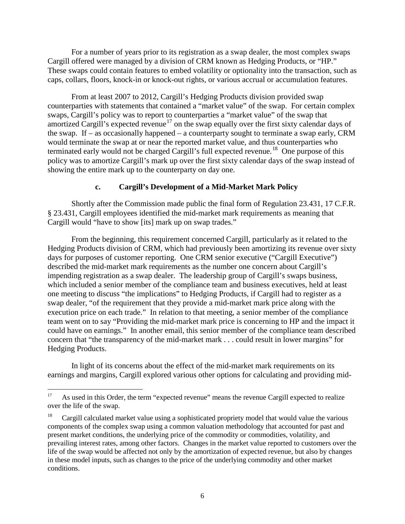For a number of years prior to its registration as a swap dealer, the most complex swaps Cargill offered were managed by a division of CRM known as Hedging Products, or "HP." These swaps could contain features to embed volatility or optionality into the transaction, such as caps, collars, floors, knock-in or knock-out rights, or various accrual or accumulation features.

From at least 2007 to 2012, Cargill's Hedging Products division provided swap counterparties with statements that contained a "market value" of the swap. For certain complex swaps, Cargill's policy was to report to counterparties a "market value" of the swap that amortized Cargill's expected revenue<sup>17</sup> on the swap equally over the first sixty calendar days of the swap. If – as occasionally happened – a counterparty sought to terminate a swap early, CRM would terminate the swap at or near the reported market value, and thus counterparties who terminated early would not be charged Cargill's full expected revenue.<sup>18</sup> One purpose of this policy was to amortize Cargill's mark up over the first sixty calendar days of the swap instead of showing the entire mark up to the counterparty on day one.

# **c. Cargill's Development of a Mid-Market Mark Policy**

Shortly after the Commission made public the final form of Regulation 23.431, 17 C.F.R. § 23.431, Cargill employees identified the mid-market mark requirements as meaning that Cargill would "have to show [its] mark up on swap trades."

From the beginning, this requirement concerned Cargill, particularly as it related to the Hedging Products division of CRM, which had previously been amortizing its revenue over sixty days for purposes of customer reporting. One CRM senior executive ("Cargill Executive") described the mid-market mark requirements as the number one concern about Cargill's impending registration as a swap dealer. The leadership group of Cargill's swaps business, which included a senior member of the compliance team and business executives, held at least one meeting to discuss "the implications" to Hedging Products, if Cargill had to register as a swap dealer, "of the requirement that they provide a mid-market mark price along with the execution price on each trade." In relation to that meeting, a senior member of the compliance team went on to say "Providing the mid-market mark price is concerning to HP and the impact it could have on earnings." In another email, this senior member of the compliance team described concern that "the transparency of the mid-market mark . . . could result in lower margins" for Hedging Products.

In light of its concerns about the effect of the mid-market mark requirements on its earnings and margins, Cargill explored various other options for calculating and providing mid-

 $17$ 17 As used in this Order, the term "expected revenue" means the revenue Cargill expected to realize over the life of the swap.

<sup>18</sup> Cargill calculated market value using a sophisticated propriety model that would value the various components of the complex swap using a common valuation methodology that accounted for past and present market conditions, the underlying price of the commodity or commodities, volatility, and prevailing interest rates, among other factors. Changes in the market value reported to customers over the life of the swap would be affected not only by the amortization of expected revenue, but also by changes in these model inputs, such as changes to the price of the underlying commodity and other market conditions.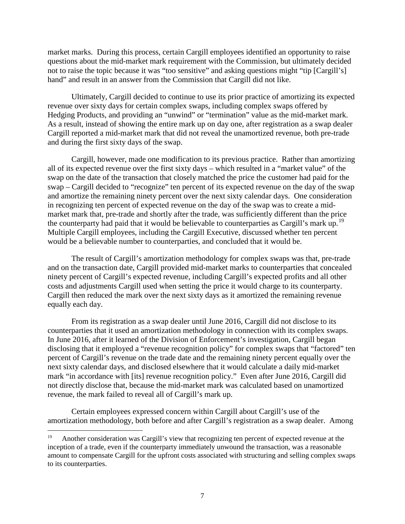market marks. During this process, certain Cargill employees identified an opportunity to raise questions about the mid-market mark requirement with the Commission, but ultimately decided not to raise the topic because it was "too sensitive" and asking questions might "tip [Cargill's] hand" and result in an answer from the Commission that Cargill did not like.

Ultimately, Cargill decided to continue to use its prior practice of amortizing its expected revenue over sixty days for certain complex swaps, including complex swaps offered by Hedging Products, and providing an "unwind" or "termination" value as the mid-market mark. As a result, instead of showing the entire mark up on day one, after registration as a swap dealer Cargill reported a mid-market mark that did not reveal the unamortized revenue, both pre-trade and during the first sixty days of the swap.

Cargill, however, made one modification to its previous practice. Rather than amortizing all of its expected revenue over the first sixty days – which resulted in a "market value" of the swap on the date of the transaction that closely matched the price the customer had paid for the swap – Cargill decided to "recognize" ten percent of its expected revenue on the day of the swap and amortize the remaining ninety percent over the next sixty calendar days. One consideration in recognizing ten percent of expected revenue on the day of the swap was to create a midmarket mark that, pre-trade and shortly after the trade, was sufficiently different than the price the counterparty had paid that it would be believable to counterparties as Cargill's mark up.<sup>19</sup> Multiple Cargill employees, including the Cargill Executive, discussed whether ten percent would be a believable number to counterparties, and concluded that it would be.

The result of Cargill's amortization methodology for complex swaps was that, pre-trade and on the transaction date, Cargill provided mid-market marks to counterparties that concealed ninety percent of Cargill's expected revenue, including Cargill's expected profits and all other costs and adjustments Cargill used when setting the price it would charge to its counterparty. Cargill then reduced the mark over the next sixty days as it amortized the remaining revenue equally each day.

From its registration as a swap dealer until June 2016, Cargill did not disclose to its counterparties that it used an amortization methodology in connection with its complex swaps. In June 2016, after it learned of the Division of Enforcement's investigation, Cargill began disclosing that it employed a "revenue recognition policy" for complex swaps that "factored" ten percent of Cargill's revenue on the trade date and the remaining ninety percent equally over the next sixty calendar days, and disclosed elsewhere that it would calculate a daily mid-market mark "in accordance with [its] revenue recognition policy." Even after June 2016, Cargill did not directly disclose that, because the mid-market mark was calculated based on unamortized revenue, the mark failed to reveal all of Cargill's mark up.

Certain employees expressed concern within Cargill about Cargill's use of the amortization methodology, both before and after Cargill's registration as a swap dealer. Among

<sup>19</sup> 19 Another consideration was Cargill's view that recognizing ten percent of expected revenue at the inception of a trade, even if the counterparty immediately unwound the transaction, was a reasonable amount to compensate Cargill for the upfront costs associated with structuring and selling complex swaps to its counterparties.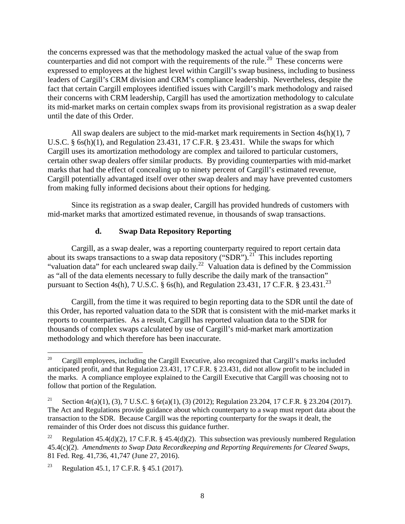the concerns expressed was that the methodology masked the actual value of the swap from counterparties and did not comport with the requirements of the rule.<sup>20</sup> These concerns were expressed to employees at the highest level within Cargill's swap business, including to business leaders of Cargill's CRM division and CRM's compliance leadership. Nevertheless, despite the fact that certain Cargill employees identified issues with Cargill's mark methodology and raised their concerns with CRM leadership, Cargill has used the amortization methodology to calculate its mid-market marks on certain complex swaps from its provisional registration as a swap dealer until the date of this Order.

All swap dealers are subject to the mid-market mark requirements in Section 4s(h)(1), 7 U.S.C. § 6s(h)(1), and Regulation 23.431, 17 C.F.R. § 23.431. While the swaps for which Cargill uses its amortization methodology are complex and tailored to particular customers, certain other swap dealers offer similar products. By providing counterparties with mid-market marks that had the effect of concealing up to ninety percent of Cargill's estimated revenue, Cargill potentially advantaged itself over other swap dealers and may have prevented customers from making fully informed decisions about their options for hedging.

Since its registration as a swap dealer, Cargill has provided hundreds of customers with mid-market marks that amortized estimated revenue, in thousands of swap transactions.

# **d. Swap Data Repository Reporting**

Cargill, as a swap dealer, was a reporting counterparty required to report certain data about its swaps transactions to a swap data repository ("SDR").<sup>21</sup> This includes reporting "valuation data" for each uncleared swap daily.<sup>22</sup> Valuation data is defined by the Commission as "all of the data elements necessary to fully describe the daily mark of the transaction" pursuant to Section 4s(h), 7 U.S.C. § 6s(h), and Regulation 23.431, 17 C.F.R. § 23.431.<sup>23</sup>

Cargill, from the time it was required to begin reporting data to the SDR until the date of this Order, has reported valuation data to the SDR that is consistent with the mid-market marks it reports to counterparties. As a result, Cargill has reported valuation data to the SDR for thousands of complex swaps calculated by use of Cargill's mid-market mark amortization methodology and which therefore has been inaccurate.

<sup>20</sup> 20 Cargill employees, including the Cargill Executive, also recognized that Cargill's marks included anticipated profit, and that Regulation 23.431, 17 C.F.R. § 23.431, did not allow profit to be included in the marks. A compliance employee explained to the Cargill Executive that Cargill was choosing not to follow that portion of the Regulation.

<sup>&</sup>lt;sup>21</sup> Section 4r(a)(1), (3), 7 U.S.C. § 6r(a)(1), (3) (2012); Regulation 23.204, 17 C.F.R. § 23.204 (2017). The Act and Regulations provide guidance about which counterparty to a swap must report data about the transaction to the SDR. Because Cargill was the reporting counterparty for the swaps it dealt, the remainder of this Order does not discuss this guidance further.

<sup>&</sup>lt;sup>22</sup> Regulation 45.4(d)(2), 17 C.F.R. § 45.4(d)(2). This subsection was previously numbered Regulation 45.4(c)(2). *Amendments to Swap Data Recordkeeping and Reporting Requirements for Cleared Swaps*, 81 Fed. Reg. 41,736, 41,747 (June 27, 2016).

<sup>&</sup>lt;sup>23</sup> Regulation 45.1, 17 C.F.R. § 45.1 (2017).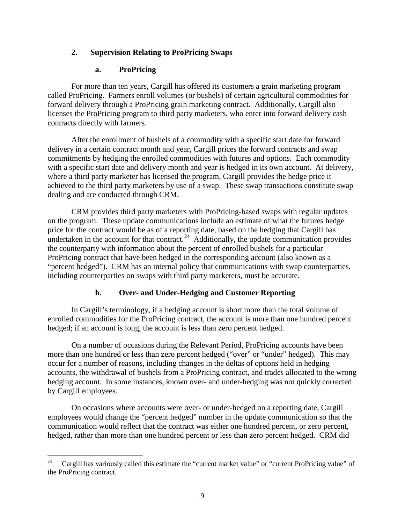# **2. Supervision Relating to ProPricing Swaps**

# **a. ProPricing**

For more than ten years, Cargill has offered its customers a grain marketing program called ProPricing. Farmers enroll volumes (or bushels) of certain agricultural commodities for forward delivery through a ProPricing grain marketing contract. Additionally, Cargill also licenses the ProPricing program to third party marketers, who enter into forward delivery cash contracts directly with farmers.

After the enrollment of bushels of a commodity with a specific start date for forward delivery in a certain contract month and year, Cargill prices the forward contracts and swap commitments by hedging the enrolled commodities with futures and options. Each commodity with a specific start date and delivery month and year is hedged in its own account. At delivery, where a third party marketer has licensed the program, Cargill provides the hedge price it achieved to the third party marketers by use of a swap. These swap transactions constitute swap dealing and are conducted through CRM.

CRM provides third party marketers with ProPricing-based swaps with regular updates on the program. These update communications include an estimate of what the futures hedge price for the contract would be as of a reporting date, based on the hedging that Cargill has undertaken in the account for that contract.<sup>24</sup> Additionally, the update communication provides the counterparty with information about the percent of enrolled bushels for a particular ProPricing contract that have been hedged in the corresponding account (also known as a "percent hedged"). CRM has an internal policy that communications with swap counterparties, including counterparties on swaps with third party marketers, must be accurate.

# **b. Over- and Under-Hedging and Customer Reporting**

In Cargill's terminology, if a hedging account is short more than the total volume of enrolled commodities for the ProPricing contract, the account is more than one hundred percent hedged; if an account is long, the account is less than zero percent hedged.

On a number of occasions during the Relevant Period, ProPricing accounts have been more than one hundred or less than zero percent hedged ("over" or "under" hedged). This may occur for a number of reasons, including changes in the deltas of options held in hedging accounts, the withdrawal of bushels from a ProPricing contract, and trades allocated to the wrong hedging account. In some instances, known over- and under-hedging was not quickly corrected by Cargill employees.

On occasions where accounts were over- or under-hedged on a reporting date, Cargill employees would change the "percent hedged" number in the update communication so that the communication would reflect that the contract was either one hundred percent, or zero percent, hedged, rather than more than one hundred percent or less than zero percent hedged. CRM did

 $24$ Cargill has variously called this estimate the "current market value" or "current ProPricing value" of the ProPricing contract.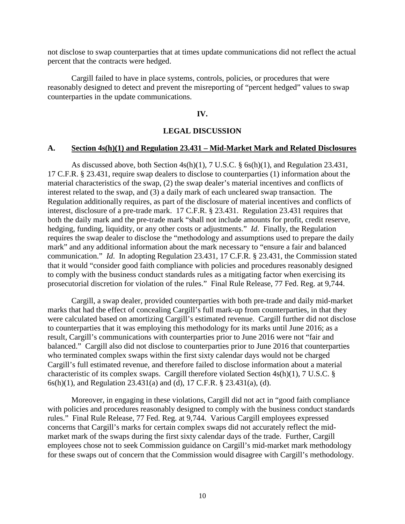not disclose to swap counterparties that at times update communications did not reflect the actual percent that the contracts were hedged.

Cargill failed to have in place systems, controls, policies, or procedures that were reasonably designed to detect and prevent the misreporting of "percent hedged" values to swap counterparties in the update communications.

#### **IV.**

#### **LEGAL DISCUSSION**

#### **A. Section 4s(h)(1) and Regulation 23.431 – Mid-Market Mark and Related Disclosures**

As discussed above, both Section 4s(h)(1), 7 U.S.C. § 6s(h)(1), and Regulation 23.431, 17 C.F.R. § 23.431, require swap dealers to disclose to counterparties (1) information about the material characteristics of the swap, (2) the swap dealer's material incentives and conflicts of interest related to the swap, and (3) a daily mark of each uncleared swap transaction. The Regulation additionally requires, as part of the disclosure of material incentives and conflicts of interest, disclosure of a pre-trade mark. 17 C.F.R. § 23.431. Regulation 23.431 requires that both the daily mark and the pre-trade mark "shall not include amounts for profit, credit reserve, hedging, funding, liquidity, or any other costs or adjustments." *Id*. Finally, the Regulation requires the swap dealer to disclose the "methodology and assumptions used to prepare the daily mark" and any additional information about the mark necessary to "ensure a fair and balanced communication." *Id*. In adopting Regulation 23.431, 17 C.F.R. § 23.431, the Commission stated that it would "consider good faith compliance with policies and procedures reasonably designed to comply with the business conduct standards rules as a mitigating factor when exercising its prosecutorial discretion for violation of the rules." Final Rule Release, 77 Fed. Reg. at 9,744.

Cargill, a swap dealer, provided counterparties with both pre-trade and daily mid-market marks that had the effect of concealing Cargill's full mark-up from counterparties, in that they were calculated based on amortizing Cargill's estimated revenue. Cargill further did not disclose to counterparties that it was employing this methodology for its marks until June 2016; as a result, Cargill's communications with counterparties prior to June 2016 were not "fair and balanced." Cargill also did not disclose to counterparties prior to June 2016 that counterparties who terminated complex swaps within the first sixty calendar days would not be charged Cargill's full estimated revenue, and therefore failed to disclose information about a material characteristic of its complex swaps. Cargill therefore violated Section 4s(h)(1), 7 U.S.C. § 6s(h)(1), and Regulation 23.431(a) and (d), 17 C.F.R. § 23.431(a), (d).

Moreover, in engaging in these violations, Cargill did not act in "good faith compliance with policies and procedures reasonably designed to comply with the business conduct standards rules." Final Rule Release, 77 Fed. Reg. at 9,744. Various Cargill employees expressed concerns that Cargill's marks for certain complex swaps did not accurately reflect the midmarket mark of the swaps during the first sixty calendar days of the trade. Further, Cargill employees chose not to seek Commission guidance on Cargill's mid-market mark methodology for these swaps out of concern that the Commission would disagree with Cargill's methodology.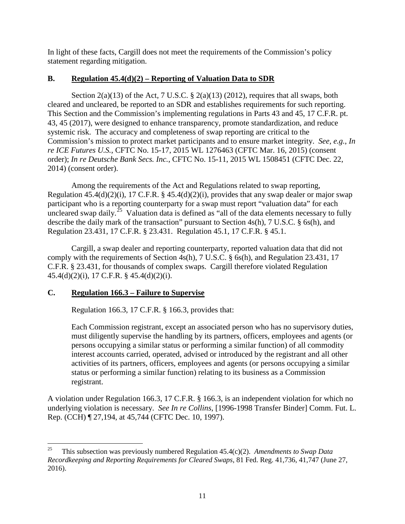In light of these facts, Cargill does not meet the requirements of the Commission's policy statement regarding mitigation.

# **B. Regulation 45.4(d)(2) – Reporting of Valuation Data to SDR**

Section  $2(a)(13)$  of the Act, 7 U.S.C. §  $2(a)(13)$  (2012), requires that all swaps, both cleared and uncleared, be reported to an SDR and establishes requirements for such reporting. This Section and the Commission's implementing regulations in Parts 43 and 45, 17 C.F.R. pt. 43, 45 (2017), were designed to enhance transparency, promote standardization, and reduce systemic risk. The accuracy and completeness of swap reporting are critical to the Commission's mission to protect market participants and to ensure market integrity. *See, e.g.*, *In re ICE Futures U.S.*, CFTC No. 15-17, 2015 WL 1276463 (CFTC Mar. 16, 2015) (consent order); *In re Deutsche Bank Secs. Inc.*, CFTC No. 15-11, 2015 WL 1508451 (CFTC Dec. 22, 2014) (consent order).

Among the requirements of the Act and Regulations related to swap reporting, Regulation 45.4(d)(2)(i), 17 C.F.R. § 45.4(d)(2)(i), provides that any swap dealer or major swap participant who is a reporting counterparty for a swap must report "valuation data" for each uncleared swap daily.<sup>25</sup> Valuation data is defined as "all of the data elements necessary to fully describe the daily mark of the transaction" pursuant to Section 4s(h), 7 U.S.C. § 6s(h), and Regulation 23.431, 17 C.F.R. § 23.431. Regulation 45.1, 17 C.F.R. § 45.1.

Cargill, a swap dealer and reporting counterparty, reported valuation data that did not comply with the requirements of Section 4s(h), 7 U.S.C. § 6s(h), and Regulation 23.431, 17 C.F.R. § 23.431, for thousands of complex swaps. Cargill therefore violated Regulation 45.4(d)(2)(i), 17 C.F.R. § 45.4(d)(2)(i).

# **C. Regulation 166.3 – Failure to Supervise**

Regulation 166.3, 17 C.F.R. § 166.3, provides that:

Each Commission registrant, except an associated person who has no supervisory duties, must diligently supervise the handling by its partners, officers, employees and agents (or persons occupying a similar status or performing a similar function) of all commodity interest accounts carried, operated, advised or introduced by the registrant and all other activities of its partners, officers, employees and agents (or persons occupying a similar status or performing a similar function) relating to its business as a Commission registrant.

A violation under Regulation 166.3, 17 C.F.R. § 166.3, is an independent violation for which no underlying violation is necessary. *See In re Collins*, [1996-1998 Transfer Binder] Comm. Fut. L. Rep. (CCH) ¶ 27,194, at 45,744 (CFTC Dec. 10, 1997).

<sup>25</sup> 25 This subsection was previously numbered Regulation 45.4(c)(2). *Amendments to Swap Data Recordkeeping and Reporting Requirements for Cleared Swaps*, 81 Fed. Reg. 41,736, 41,747 (June 27, 2016).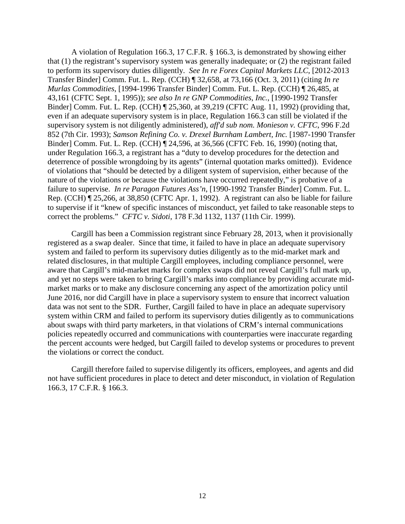A violation of Regulation 166.3, 17 C.F.R. § 166.3, is demonstrated by showing either that (1) the registrant's supervisory system was generally inadequate; or (2) the registrant failed to perform its supervisory duties diligently. *See In re Forex Capital Markets LLC*, [2012-2013 Transfer Binder] Comm. Fut. L. Rep. (CCH) ¶ 32,658, at 73,166 (Oct. 3, 2011) (citing *In re Murlas Commodities*, [1994-1996 Transfer Binder] Comm. Fut. L. Rep. (CCH) ¶ 26,485, at 43,161 (CFTC Sept. 1, 1995)); *see also In re GNP Commodities, Inc.*, [1990-1992 Transfer Binder] Comm. Fut. L. Rep. (CCH) ¶ 25,360, at 39,219 (CFTC Aug. 11, 1992) (providing that, even if an adequate supervisory system is in place, Regulation 166.3 can still be violated if the supervisory system is not diligently administered), *aff'd sub nom. Monieson v. CFTC*, 996 F.2d 852 (7th Cir. 1993); *Samson Refining Co. v. Drexel Burnham Lambert, Inc.* [1987-1990 Transfer Binder] Comm. Fut. L. Rep. (CCH) ¶ 24,596, at 36,566 (CFTC Feb. 16, 1990) (noting that, under Regulation 166.3, a registrant has a "duty to develop procedures for the detection and deterrence of possible wrongdoing by its agents" (internal quotation marks omitted)). Evidence of violations that "should be detected by a diligent system of supervision, either because of the nature of the violations or because the violations have occurred repeatedly," is probative of a failure to supervise. *In re Paragon Futures Ass'n*, [1990-1992 Transfer Binder] Comm. Fut. L. Rep. (CCH) ¶ 25,266, at 38,850 (CFTC Apr. 1, 1992). A registrant can also be liable for failure to supervise if it "knew of specific instances of misconduct, yet failed to take reasonable steps to correct the problems." *CFTC v. Sidoti*, 178 F.3d 1132, 1137 (11th Cir. 1999).

Cargill has been a Commission registrant since February 28, 2013, when it provisionally registered as a swap dealer. Since that time, it failed to have in place an adequate supervisory system and failed to perform its supervisory duties diligently as to the mid-market mark and related disclosures, in that multiple Cargill employees, including compliance personnel, were aware that Cargill's mid-market marks for complex swaps did not reveal Cargill's full mark up, and yet no steps were taken to bring Cargill's marks into compliance by providing accurate midmarket marks or to make any disclosure concerning any aspect of the amortization policy until June 2016, nor did Cargill have in place a supervisory system to ensure that incorrect valuation data was not sent to the SDR. Further, Cargill failed to have in place an adequate supervisory system within CRM and failed to perform its supervisory duties diligently as to communications about swaps with third party marketers, in that violations of CRM's internal communications policies repeatedly occurred and communications with counterparties were inaccurate regarding the percent accounts were hedged, but Cargill failed to develop systems or procedures to prevent the violations or correct the conduct.

Cargill therefore failed to supervise diligently its officers, employees, and agents and did not have sufficient procedures in place to detect and deter misconduct, in violation of Regulation 166.3, 17 C.F.R. § 166.3.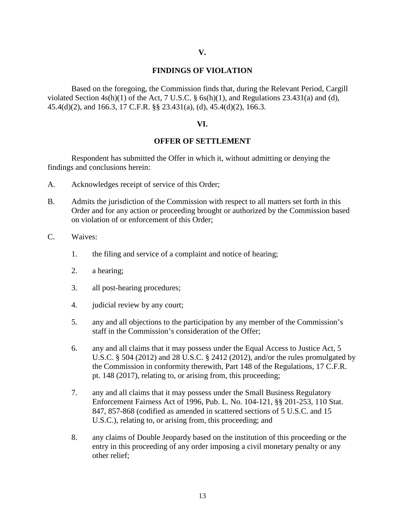#### **FINDINGS OF VIOLATION**

Based on the foregoing, the Commission finds that, during the Relevant Period, Cargill violated Section  $4s(h)(1)$  of the Act, 7 U.S.C. § 6s(h)(1), and Regulations 23.431(a) and (d), 45.4(d)(2), and 166.3, 17 C.F.R. §§ 23.431(a), (d), 45.4(d)(2), 166.3.

#### **VI.**

#### **OFFER OF SETTLEMENT**

Respondent has submitted the Offer in which it, without admitting or denying the findings and conclusions herein:

- A. Acknowledges receipt of service of this Order;
- B. Admits the jurisdiction of the Commission with respect to all matters set forth in this Order and for any action or proceeding brought or authorized by the Commission based on violation of or enforcement of this Order;
- C. Waives:
	- 1. the filing and service of a complaint and notice of hearing;
	- 2. a hearing;
	- 3. all post-hearing procedures;
	- 4. judicial review by any court;
	- 5. any and all objections to the participation by any member of the Commission's staff in the Commission's consideration of the Offer;
	- 6. any and all claims that it may possess under the Equal Access to Justice Act, 5 U.S.C. § 504 (2012) and 28 U.S.C. § 2412 (2012), and/or the rules promulgated by the Commission in conformity therewith, Part 148 of the Regulations, 17 C.F.R. pt. 148 (2017), relating to, or arising from, this proceeding;
	- 7. any and all claims that it may possess under the Small Business Regulatory Enforcement Fairness Act of 1996, Pub. L. No. 104-121, §§ 201-253, 110 Stat. 847, 857-868 (codified as amended in scattered sections of 5 U.S.C. and 15 U.S.C.), relating to, or arising from, this proceeding; and
	- 8. any claims of Double Jeopardy based on the institution of this proceeding or the entry in this proceeding of any order imposing a civil monetary penalty or any other relief;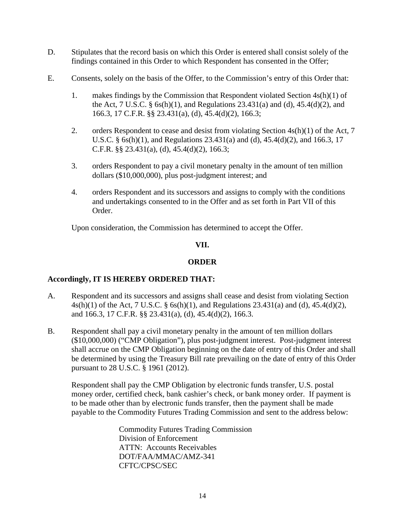- D. Stipulates that the record basis on which this Order is entered shall consist solely of the findings contained in this Order to which Respondent has consented in the Offer;
- E. Consents, solely on the basis of the Offer, to the Commission's entry of this Order that:
	- 1. makes findings by the Commission that Respondent violated Section 4s(h)(1) of the Act, 7 U.S.C.  $\S$  6s(h)(1), and Regulations 23.431(a) and (d), 45.4(d)(2), and 166.3, 17 C.F.R. §§ 23.431(a), (d), 45.4(d)(2), 166.3;
	- 2. orders Respondent to cease and desist from violating Section 4s(h)(1) of the Act, 7 U.S.C. § 6s(h)(1), and Regulations 23.431(a) and (d), 45.4(d)(2), and 166.3, 17 C.F.R. §§ 23.431(a), (d), 45.4(d)(2), 166.3;
	- 3. orders Respondent to pay a civil monetary penalty in the amount of ten million dollars (\$10,000,000), plus post-judgment interest; and
	- 4. orders Respondent and its successors and assigns to comply with the conditions and undertakings consented to in the Offer and as set forth in Part VII of this Order.

Upon consideration, the Commission has determined to accept the Offer.

### **VII.**

### **ORDER**

### **Accordingly, IT IS HEREBY ORDERED THAT:**

- A. Respondent and its successors and assigns shall cease and desist from violating Section 4s(h)(1) of the Act, 7 U.S.C. § 6s(h)(1), and Regulations 23.431(a) and (d), 45.4(d)(2), and 166.3, 17 C.F.R. §§ 23.431(a), (d), 45.4(d)(2), 166.3.
- B. Respondent shall pay a civil monetary penalty in the amount of ten million dollars (\$10,000,000) ("CMP Obligation"), plus post-judgment interest. Post-judgment interest shall accrue on the CMP Obligation beginning on the date of entry of this Order and shall be determined by using the Treasury Bill rate prevailing on the date of entry of this Order pursuant to 28 U.S.C. § 1961 (2012).

Respondent shall pay the CMP Obligation by electronic funds transfer, U.S. postal money order, certified check, bank cashier's check, or bank money order. If payment is to be made other than by electronic funds transfer, then the payment shall be made payable to the Commodity Futures Trading Commission and sent to the address below:

> Commodity Futures Trading Commission Division of Enforcement ATTN: Accounts Receivables DOT/FAA/MMAC/AMZ-341 CFTC/CPSC/SEC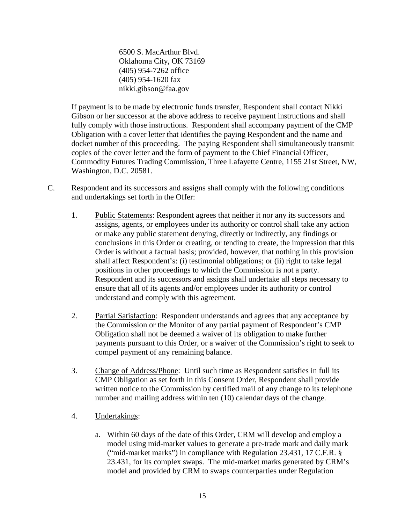6500 S. MacArthur Blvd. Oklahoma City, OK 73169 (405) 954-7262 office (405) 954-1620 fax nikki.gibson@faa.gov

If payment is to be made by electronic funds transfer, Respondent shall contact Nikki Gibson or her successor at the above address to receive payment instructions and shall fully comply with those instructions. Respondent shall accompany payment of the CMP Obligation with a cover letter that identifies the paying Respondent and the name and docket number of this proceeding. The paying Respondent shall simultaneously transmit copies of the cover letter and the form of payment to the Chief Financial Officer, Commodity Futures Trading Commission, Three Lafayette Centre, 1155 21st Street, NW, Washington, D.C. 20581.

- C. Respondent and its successors and assigns shall comply with the following conditions and undertakings set forth in the Offer:
	- 1. Public Statements: Respondent agrees that neither it nor any its successors and assigns, agents, or employees under its authority or control shall take any action or make any public statement denying, directly or indirectly, any findings or conclusions in this Order or creating, or tending to create, the impression that this Order is without a factual basis; provided, however, that nothing in this provision shall affect Respondent's: (i) testimonial obligations; or (ii) right to take legal positions in other proceedings to which the Commission is not a party. Respondent and its successors and assigns shall undertake all steps necessary to ensure that all of its agents and/or employees under its authority or control understand and comply with this agreement.
	- 2. Partial Satisfaction: Respondent understands and agrees that any acceptance by the Commission or the Monitor of any partial payment of Respondent's CMP Obligation shall not be deemed a waiver of its obligation to make further payments pursuant to this Order, or a waiver of the Commission's right to seek to compel payment of any remaining balance.
	- 3. Change of Address/Phone: Until such time as Respondent satisfies in full its CMP Obligation as set forth in this Consent Order, Respondent shall provide written notice to the Commission by certified mail of any change to its telephone number and mailing address within ten (10) calendar days of the change.
	- 4. Undertakings:
		- a. Within 60 days of the date of this Order, CRM will develop and employ a model using mid-market values to generate a pre-trade mark and daily mark ("mid-market marks") in compliance with Regulation 23.431, 17 C.F.R. § 23.431, for its complex swaps. The mid-market marks generated by CRM's model and provided by CRM to swaps counterparties under Regulation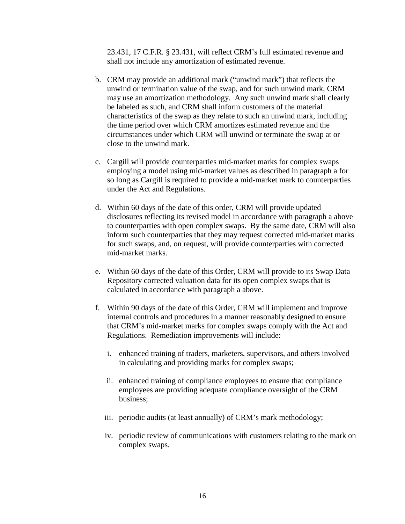23.431, 17 C.F.R. § 23.431, will reflect CRM's full estimated revenue and shall not include any amortization of estimated revenue.

- b. CRM may provide an additional mark ("unwind mark") that reflects the unwind or termination value of the swap, and for such unwind mark, CRM may use an amortization methodology. Any such unwind mark shall clearly be labeled as such, and CRM shall inform customers of the material characteristics of the swap as they relate to such an unwind mark, including the time period over which CRM amortizes estimated revenue and the circumstances under which CRM will unwind or terminate the swap at or close to the unwind mark.
- c. Cargill will provide counterparties mid-market marks for complex swaps employing a model using mid-market values as described in paragraph a for so long as Cargill is required to provide a mid-market mark to counterparties under the Act and Regulations.
- d. Within 60 days of the date of this order, CRM will provide updated disclosures reflecting its revised model in accordance with paragraph a above to counterparties with open complex swaps. By the same date, CRM will also inform such counterparties that they may request corrected mid-market marks for such swaps, and, on request, will provide counterparties with corrected mid-market marks.
- e. Within 60 days of the date of this Order, CRM will provide to its Swap Data Repository corrected valuation data for its open complex swaps that is calculated in accordance with paragraph a above.
- f. Within 90 days of the date of this Order, CRM will implement and improve internal controls and procedures in a manner reasonably designed to ensure that CRM's mid-market marks for complex swaps comply with the Act and Regulations. Remediation improvements will include:
	- i. enhanced training of traders, marketers, supervisors, and others involved in calculating and providing marks for complex swaps;
	- ii. enhanced training of compliance employees to ensure that compliance employees are providing adequate compliance oversight of the CRM business;
	- iii. periodic audits (at least annually) of CRM's mark methodology;
	- iv. periodic review of communications with customers relating to the mark on complex swaps.